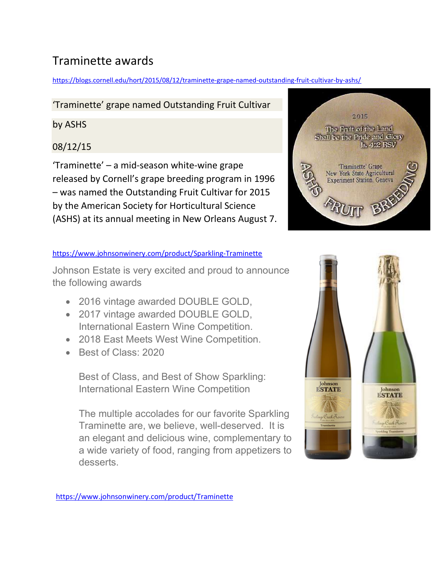## Traminette awards

https://blogs.cornell.edu/hort/2015/08/12/traminette-grape-named-outstanding-fruit-cultivar-by-ashs/

#### 'Traminette' grape named Outstanding Fruit Cultivar

by ASHS

### 08/12/15

'Traminette' – a mid-season white-wine grape released by Cornell's grape breeding program in 1996 – was named the Outstanding Fruit Cultivar for 2015 by the American Society for Horticultural Science (ASHS) at its annual meeting in New Orleans August 7.

#### https://www.johnsonwinery.com/product/Sparkling-Traminette

Johnson Estate is very excited and proud to announce the following awards

- 2016 vintage awarded DOUBLE GOLD,
- 2017 vintage awarded DOUBLE GOLD, International Eastern Wine Competition.
- 2018 East Meets West Wine Competition.
- Best of Class: 2020

Best of Class, and Best of Show Sparkling: International Eastern Wine Competition

The multiple accolades for our favorite Sparkling Traminette are, we believe, well-deserved. It is an elegant and delicious wine, complementary to a wide variety of food, ranging from appetizers to desserts.



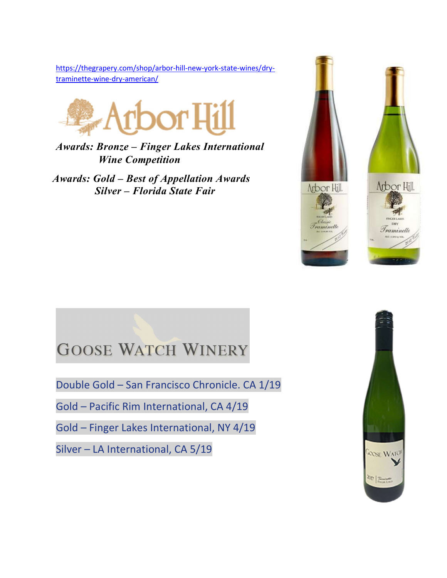https://thegrapery.com/shop/arbor-hill-new-york-state-wines/drytraminette-wine-dry-american/



Awards: Bronze – Finger Lakes International Wine Competition

Awards: Gold – Best of Appellation Awards Silver – Florida State Fair





# **GOOSE WATCH WINERY**

Double Gold – San Francisco Chronicle. CA 1/19

Gold – Pacific Rim International, CA 4/19

Gold – Finger Lakes International, NY 4/19

Silver – LA International, CA 5/19